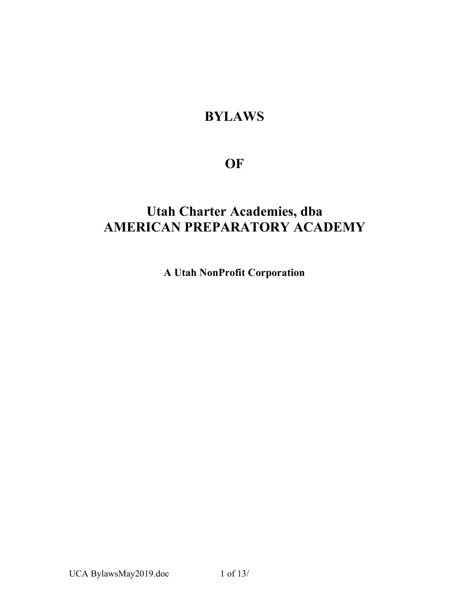# **BYLAWS**

## **OF**

## **Utah Charter Academies, dba AMERICAN PREPARATORY ACADEMY**

**A Utah NonProfit Corporation**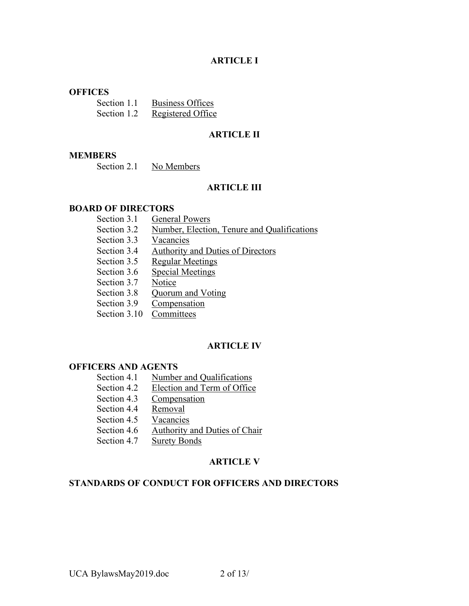## **ARTICLE I**

#### **OFFICES**

| Section 1.1 | <b>Business Offices</b>  |
|-------------|--------------------------|
| Section 1.2 | <b>Registered Office</b> |

#### **ARTICLE II**

#### **MEMBERS**

Section 2.1 No Members

## **ARTICLE III**

## **BOARD OF DIRECTORS**

- Section 3.1 General Powers
- Section 3.2 Number, Election, Tenure and Qualifications
- Section 3.3 Vacancies
- Section 3.4 Authority and Duties of Directors
- Section 3.5 Regular Meetings
- Section 3.6 Special Meetings
- Section 3.7 Notice
- Section 3.8 Quorum and Voting
- Section 3.9 Compensation
- Section 3.10 Committees

## **ARTICLE IV**

## **OFFICERS AND AGENTS**

- Section 4.1 Number and Qualifications
- Section 4.2 Election and Term of Office
- Section 4.3 Compensation
- Section 4.4 Removal
- Section 4.5 Vacancies
- Section 4.6 Authority and Duties of Chair
- Section 4.7 Surety Bonds

## **ARTICLE V**

## **STANDARDS OF CONDUCT FOR OFFICERS AND DIRECTORS**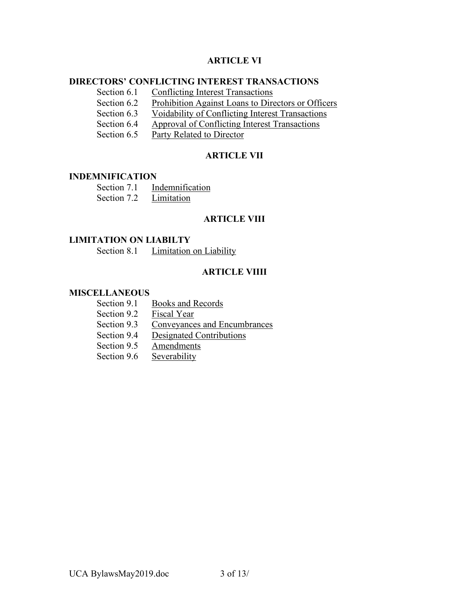## **ARTICLE VI**

## **DIRECTORS' CONFLICTING INTEREST TRANSACTIONS**

- Section 6.1 Conflicting Interest Transactions
- Section 6.2 Prohibition Against Loans to Directors or Officers
- Section 6.3 Voidability of Conflicting Interest Transactions
- Section 6.4 Approval of Conflicting Interest Transactions
- Section 6.5 Party Related to Director

## **ARTICLE VII**

#### **INDEMNIFICATION**

- Section 7.1 Indemnification
- Section 7.2 Limitation

## **ARTICLE VIII**

#### **LIMITATION ON LIABILTY**

Section 8.1 Limitation on Liability

## **ARTICLE VIIII**

#### **MISCELLANEOUS**

- Section 9.1 Books and Records
- Section 9.2 Fiscal Year
- Section 9.3 Conveyances and Encumbrances
- Section 9.4 Designated Contributions
- Section 9.5 Amendments
- Section 9.6 Severability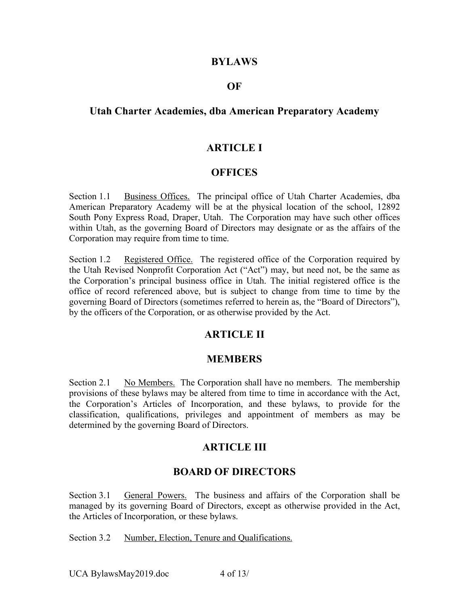## **BYLAWS**

## **OF**

## **Utah Charter Academies, dba American Preparatory Academy**

## **ARTICLE I**

## **OFFICES**

Section 1.1 Business Offices. The principal office of Utah Charter Academies, dba American Preparatory Academy will be at the physical location of the school, 12892 South Pony Express Road, Draper, Utah. The Corporation may have such other offices within Utah, as the governing Board of Directors may designate or as the affairs of the Corporation may require from time to time.

Section 1.2 Registered Office. The registered office of the Corporation required by the Utah Revised Nonprofit Corporation Act ("Act") may, but need not, be the same as the Corporation's principal business office in Utah. The initial registered office is the office of record referenced above, but is subject to change from time to time by the governing Board of Directors (sometimes referred to herein as, the "Board of Directors"), by the officers of the Corporation, or as otherwise provided by the Act.

## **ARTICLE II**

## **MEMBERS**

Section 2.1 No Members. The Corporation shall have no members. The membership provisions of these bylaws may be altered from time to time in accordance with the Act, the Corporation's Articles of Incorporation, and these bylaws, to provide for the classification, qualifications, privileges and appointment of members as may be determined by the governing Board of Directors.

## **ARTICLE III**

## **BOARD OF DIRECTORS**

Section 3.1 General Powers. The business and affairs of the Corporation shall be managed by its governing Board of Directors, except as otherwise provided in the Act, the Articles of Incorporation, or these bylaws.

Section 3.2 Number, Election, Tenure and Qualifications.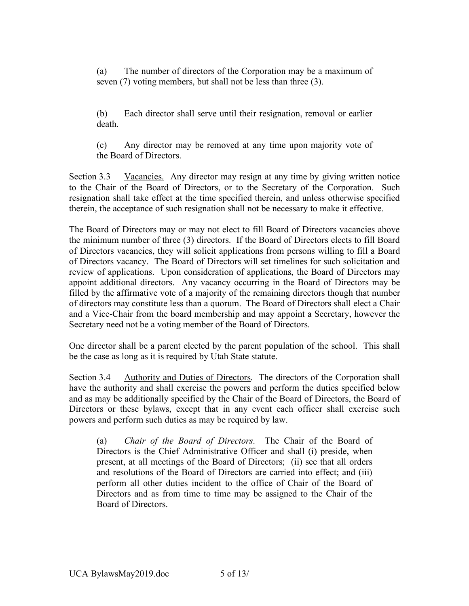(a) The number of directors of the Corporation may be a maximum of seven (7) voting members, but shall not be less than three (3).

(b) Each director shall serve until their resignation, removal or earlier death.

(c) Any director may be removed at any time upon majority vote of the Board of Directors.

Section 3.3 Vacancies. Any director may resign at any time by giving written notice to the Chair of the Board of Directors, or to the Secretary of the Corporation. Such resignation shall take effect at the time specified therein, and unless otherwise specified therein, the acceptance of such resignation shall not be necessary to make it effective.

The Board of Directors may or may not elect to fill Board of Directors vacancies above the minimum number of three (3) directors. If the Board of Directors elects to fill Board of Directors vacancies, they will solicit applications from persons willing to fill a Board of Directors vacancy. The Board of Directors will set timelines for such solicitation and review of applications. Upon consideration of applications, the Board of Directors may appoint additional directors. Any vacancy occurring in the Board of Directors may be filled by the affirmative vote of a majority of the remaining directors though that number of directors may constitute less than a quorum. The Board of Directors shall elect a Chair and a Vice-Chair from the board membership and may appoint a Secretary, however the Secretary need not be a voting member of the Board of Directors.

One director shall be a parent elected by the parent population of the school. This shall be the case as long as it is required by Utah State statute.

Section 3.4 Authority and Duties of Directors. The directors of the Corporation shall have the authority and shall exercise the powers and perform the duties specified below and as may be additionally specified by the Chair of the Board of Directors, the Board of Directors or these bylaws, except that in any event each officer shall exercise such powers and perform such duties as may be required by law.

(a) *Chair of the Board of Directors*. The Chair of the Board of Directors is the Chief Administrative Officer and shall (i) preside, when present, at all meetings of the Board of Directors; (ii) see that all orders and resolutions of the Board of Directors are carried into effect; and (iii) perform all other duties incident to the office of Chair of the Board of Directors and as from time to time may be assigned to the Chair of the Board of Directors.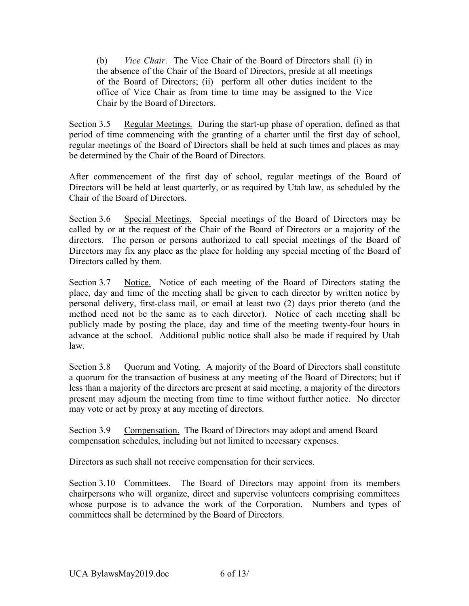(b) *Vice Chair*. The Vice Chair of the Board of Directors shall (i) in the absence of the Chair of the Board of Directors, preside at all meetings of the Board of Directors; (ii) perform all other duties incident to the office of Vice Chair as from time to time may be assigned to the Vice Chair by the Board of Directors.

Section 3.5 Regular Meetings. During the start-up phase of operation, defined as that period of time commencing with the granting of a charter until the first day of school, regular meetings of the Board of Directors shall be held at such times and places as may be determined by the Chair of the Board of Directors.

After commencement of the first day of school, regular meetings of the Board of Directors will be held at least quarterly, or as required by Utah law, as scheduled by the Chair of the Board of Directors.

Section 3.6 Special Meetings. Special meetings of the Board of Directors may be called by or at the request of the Chair of the Board of Directors or a majority of the directors. The person or persons authorized to call special meetings of the Board of Directors may fix any place as the place for holding any special meeting of the Board of Directors called by them.

Section 3.7 Notice. Notice of each meeting of the Board of Directors stating the place, day and time of the meeting shall be given to each director by written notice by personal delivery, first-class mail, or email at least two (2) days prior thereto (and the method need not be the same as to each director). Notice of each meeting shall be publicly made by posting the place, day and time of the meeting twenty-four hours in advance at the school. Additional public notice shall also be made if required by Utah law.

Section 3.8 Ouorum and Voting. A majority of the Board of Directors shall constitute a quorum for the transaction of business at any meeting of the Board of Directors; but if less than a majority of the directors are present at said meeting, a majority of the directors present may adjourn the meeting from time to time without further notice. No director may vote or act by proxy at any meeting of directors.

Section 3.9 Compensation. The Board of Directors may adopt and amend Board compensation schedules, including but not limited to necessary expenses.

Directors as such shall not receive compensation for their services.

Section 3.10 Committees. The Board of Directors may appoint from its members chairpersons who will organize, direct and supervise volunteers comprising committees whose purpose is to advance the work of the Corporation. Numbers and types of committees shall be determined by the Board of Directors.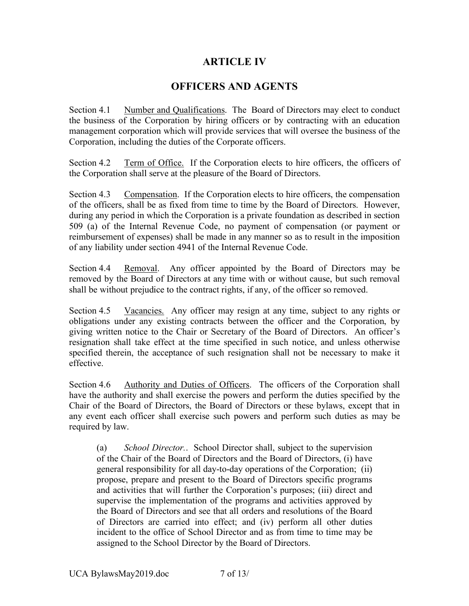## **ARTICLE IV**

## **OFFICERS AND AGENTS**

Section 4.1 Number and Qualifications. The Board of Directors may elect to conduct the business of the Corporation by hiring officers or by contracting with an education management corporation which will provide services that will oversee the business of the Corporation, including the duties of the Corporate officers.

Section 4.2 Term of Office. If the Corporation elects to hire officers, the officers of the Corporation shall serve at the pleasure of the Board of Directors.

Section 4.3 Compensation. If the Corporation elects to hire officers, the compensation of the officers, shall be as fixed from time to time by the Board of Directors. However, during any period in which the Corporation is a private foundation as described in section 509 (a) of the Internal Revenue Code, no payment of compensation (or payment or reimbursement of expenses) shall be made in any manner so as to result in the imposition of any liability under section 4941 of the Internal Revenue Code.

Section 4.4 Removal. Any officer appointed by the Board of Directors may be removed by the Board of Directors at any time with or without cause, but such removal shall be without prejudice to the contract rights, if any, of the officer so removed.

Section 4.5 Vacancies. Any officer may resign at any time, subject to any rights or obligations under any existing contracts between the officer and the Corporation, by giving written notice to the Chair or Secretary of the Board of Directors. An officer's resignation shall take effect at the time specified in such notice, and unless otherwise specified therein, the acceptance of such resignation shall not be necessary to make it effective.

Section 4.6 Authority and Duties of Officers. The officers of the Corporation shall have the authority and shall exercise the powers and perform the duties specified by the Chair of the Board of Directors, the Board of Directors or these bylaws, except that in any event each officer shall exercise such powers and perform such duties as may be required by law.

(a) *School Director.*. School Director shall, subject to the supervision of the Chair of the Board of Directors and the Board of Directors, (i) have general responsibility for all day-to-day operations of the Corporation; (ii) propose, prepare and present to the Board of Directors specific programs and activities that will further the Corporation's purposes; (iii) direct and supervise the implementation of the programs and activities approved by the Board of Directors and see that all orders and resolutions of the Board of Directors are carried into effect; and (iv) perform all other duties incident to the office of School Director and as from time to time may be assigned to the School Director by the Board of Directors.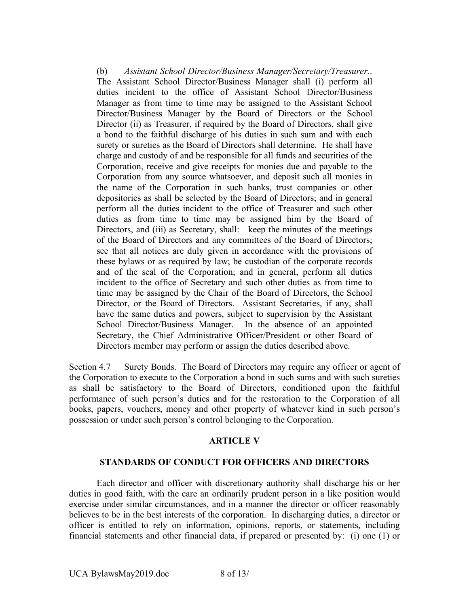(b) *Assistant School Director/Business Manager/Secretary/Treasurer.*. The Assistant School Director/Business Manager shall (i) perform all duties incident to the office of Assistant School Director/Business Manager as from time to time may be assigned to the Assistant School Director/Business Manager by the Board of Directors or the School Director (ii) as Treasurer, if required by the Board of Directors, shall give a bond to the faithful discharge of his duties in such sum and with each surety or sureties as the Board of Directors shall determine. He shall have charge and custody of and be responsible for all funds and securities of the Corporation, receive and give receipts for monies due and payable to the Corporation from any source whatsoever, and deposit such all monies in the name of the Corporation in such banks, trust companies or other depositories as shall be selected by the Board of Directors; and in general perform all the duties incident to the office of Treasurer and such other duties as from time to time may be assigned him by the Board of Directors, and (iii) as Secretary, shall: keep the minutes of the meetings of the Board of Directors and any committees of the Board of Directors; see that all notices are duly given in accordance with the provisions of these bylaws or as required by law; be custodian of the corporate records and of the seal of the Corporation; and in general, perform all duties incident to the office of Secretary and such other duties as from time to time may be assigned by the Chair of the Board of Directors, the School Director, or the Board of Directors. Assistant Secretaries, if any, shall have the same duties and powers, subject to supervision by the Assistant School Director/Business Manager. In the absence of an appointed Secretary, the Chief Administrative Officer/President or other Board of Directors member may perform or assign the duties described above.

Section 4.7 Surety Bonds. The Board of Directors may require any officer or agent of the Corporation to execute to the Corporation a bond in such sums and with such sureties as shall be satisfactory to the Board of Directors, conditioned upon the faithful performance of such person's duties and for the restoration to the Corporation of all books, papers, vouchers, money and other property of whatever kind in such person's possession or under such person's control belonging to the Corporation.

## **ARTICLE V**

## **STANDARDS OF CONDUCT FOR OFFICERS AND DIRECTORS**

Each director and officer with discretionary authority shall discharge his or her duties in good faith, with the care an ordinarily prudent person in a like position would exercise under similar circumstances, and in a manner the director or officer reasonably believes to be in the best interests of the corporation. In discharging duties, a director or officer is entitled to rely on information, opinions, reports, or statements, including financial statements and other financial data, if prepared or presented by: (i) one (1) or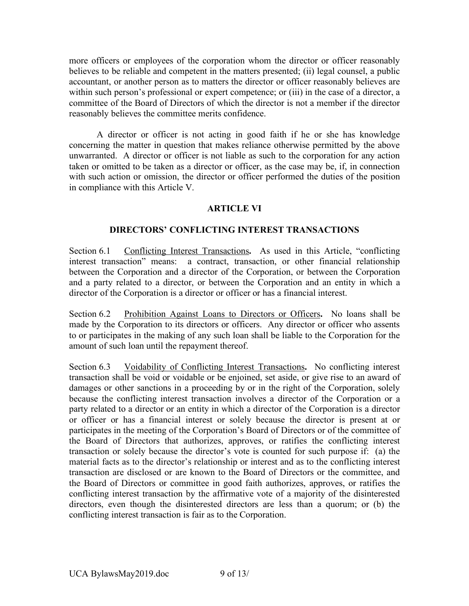more officers or employees of the corporation whom the director or officer reasonably believes to be reliable and competent in the matters presented; (ii) legal counsel, a public accountant, or another person as to matters the director or officer reasonably believes are within such person's professional or expert competence; or (iii) in the case of a director, a committee of the Board of Directors of which the director is not a member if the director reasonably believes the committee merits confidence.

A director or officer is not acting in good faith if he or she has knowledge concerning the matter in question that makes reliance otherwise permitted by the above unwarranted. A director or officer is not liable as such to the corporation for any action taken or omitted to be taken as a director or officer, as the case may be, if, in connection with such action or omission, the director or officer performed the duties of the position in compliance with this Article V.

## **ARTICLE VI**

## **DIRECTORS' CONFLICTING INTEREST TRANSACTIONS**

Section 6.1 Conflicting Interest Transactions**.** As used in this Article, "conflicting interest transaction" means: a contract, transaction, or other financial relationship between the Corporation and a director of the Corporation, or between the Corporation and a party related to a director, or between the Corporation and an entity in which a director of the Corporation is a director or officer or has a financial interest.

Section 6.2 Prohibition Against Loans to Directors or Officers**.** No loans shall be made by the Corporation to its directors or officers. Any director or officer who assents to or participates in the making of any such loan shall be liable to the Corporation for the amount of such loan until the repayment thereof.

Section 6.3 Voidability of Conflicting Interest Transactions**.** No conflicting interest transaction shall be void or voidable or be enjoined, set aside, or give rise to an award of damages or other sanctions in a proceeding by or in the right of the Corporation, solely because the conflicting interest transaction involves a director of the Corporation or a party related to a director or an entity in which a director of the Corporation is a director or officer or has a financial interest or solely because the director is present at or participates in the meeting of the Corporation's Board of Directors or of the committee of the Board of Directors that authorizes, approves, or ratifies the conflicting interest transaction or solely because the director's vote is counted for such purpose if: (a) the material facts as to the director's relationship or interest and as to the conflicting interest transaction are disclosed or are known to the Board of Directors or the committee, and the Board of Directors or committee in good faith authorizes, approves, or ratifies the conflicting interest transaction by the affirmative vote of a majority of the disinterested directors, even though the disinterested directors are less than a quorum; or (b) the conflicting interest transaction is fair as to the Corporation.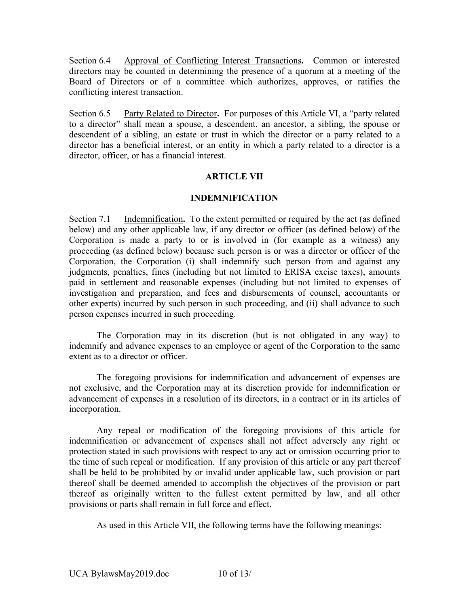Section 6.4 Approval of Conflicting Interest Transactions**.** Common or interested directors may be counted in determining the presence of a quorum at a meeting of the Board of Directors or of a committee which authorizes, approves, or ratifies the conflicting interest transaction.

Section 6.5 Party Related to Director. For purposes of this Article VI, a "party related to a director" shall mean a spouse, a descendent, an ancestor, a sibling, the spouse or descendent of a sibling, an estate or trust in which the director or a party related to a director has a beneficial interest, or an entity in which a party related to a director is a director, officer, or has a financial interest.

## **ARTICLE VII**

## **INDEMNIFICATION**

Section 7.1 Indemnification. To the extent permitted or required by the act (as defined below) and any other applicable law, if any director or officer (as defined below) of the Corporation is made a party to or is involved in (for example as a witness) any proceeding (as defined below) because such person is or was a director or officer of the Corporation, the Corporation (i) shall indemnify such person from and against any judgments, penalties, fines (including but not limited to ERISA excise taxes), amounts paid in settlement and reasonable expenses (including but not limited to expenses of investigation and preparation, and fees and disbursements of counsel, accountants or other experts) incurred by such person in such proceeding, and (ii) shall advance to such person expenses incurred in such proceeding.

The Corporation may in its discretion (but is not obligated in any way) to indemnify and advance expenses to an employee or agent of the Corporation to the same extent as to a director or officer.

The foregoing provisions for indemnification and advancement of expenses are not exclusive, and the Corporation may at its discretion provide for indemnification or advancement of expenses in a resolution of its directors, in a contract or in its articles of incorporation.

Any repeal or modification of the foregoing provisions of this article for indemnification or advancement of expenses shall not affect adversely any right or protection stated in such provisions with respect to any act or omission occurring prior to the time of such repeal or modification. If any provision of this article or any part thereof shall be held to be prohibited by or invalid under applicable law, such provision or part thereof shall be deemed amended to accomplish the objectives of the provision or part thereof as originally written to the fullest extent permitted by law, and all other provisions or parts shall remain in full force and effect.

As used in this Article VII, the following terms have the following meanings: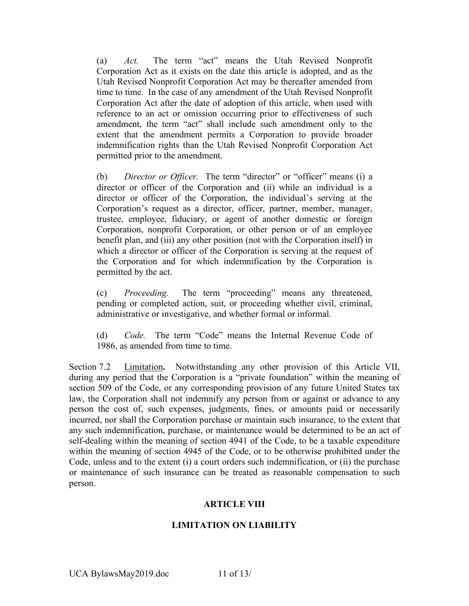(a) *Act.* The term "act" means the Utah Revised Nonprofit Corporation Act as it exists on the date this article is adopted, and as the Utah Revised Nonprofit Corporation Act may be thereafter amended from time to time. In the case of any amendment of the Utah Revised Nonprofit Corporation Act after the date of adoption of this article, when used with reference to an act or omission occurring prior to effectiveness of such amendment, the term "act" shall include such amendment only to the extent that the amendment permits a Corporation to provide broader indemnification rights than the Utah Revised Nonprofit Corporation Act permitted prior to the amendment.

(b) *Director or Officer.* The term "director" or "officer" means (i) a director or officer of the Corporation and (ii) while an individual is a director or officer of the Corporation, the individual's serving at the Corporation's request as a director, officer, partner, member, manager, trustee, employee, fiduciary, or agent of another domestic or foreign Corporation, nonprofit Corporation, or other person or of an employee benefit plan, and (iii) any other position (not with the Corporation itself) in which a director or officer of the Corporation is serving at the request of the Corporation and for which indemnification by the Corporation is permitted by the act.

(c) *Proceeding.* The term "proceeding" means any threatened, pending or completed action, suit, or proceeding whether civil, criminal, administrative or investigative, and whether formal or informal.

(d) *Code.* The term "Code" means the Internal Revenue Code of 1986, as amended from time to time.

Section 7.2 Limitation**.** Notwithstanding any other provision of this Article VII, during any period that the Corporation is a "private foundation" within the meaning of section 509 of the Code, or any corresponding provision of any future United States tax law, the Corporation shall not indemnify any person from or against or advance to any person the cost of, such expenses, judgments, fines, or amounts paid or necessarily incurred, nor shall the Corporation purchase or maintain such insurance, to the extent that any such indemnification, purchase, or maintenance would be determined to be an act of self-dealing within the meaning of section 4941 of the Code, to be a taxable expenditure within the meaning of section 4945 of the Code, or to be otherwise prohibited under the Code, unless and to the extent (i) a court orders such indemnification, or (ii) the purchase or maintenance of such insurance can be treated as reasonable compensation to such person.

## **ARTICLE VIII**

## **LIMITATION ON LIABILITY**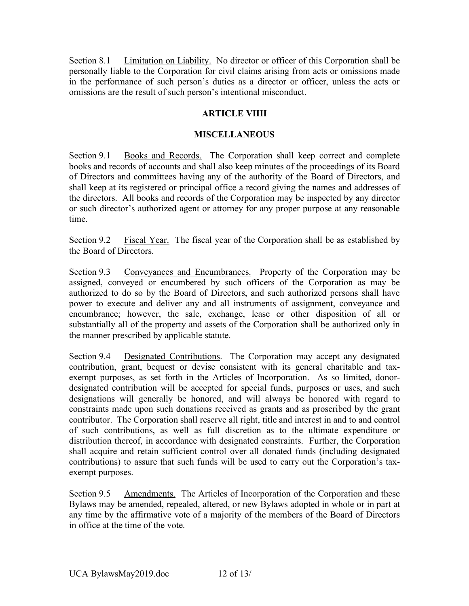Section 8.1 Limitation on Liability. No director or officer of this Corporation shall be personally liable to the Corporation for civil claims arising from acts or omissions made in the performance of such person's duties as a director or officer, unless the acts or omissions are the result of such person's intentional misconduct.

## **ARTICLE VIIII**

## **MISCELLANEOUS**

Section 9.1 Books and Records. The Corporation shall keep correct and complete books and records of accounts and shall also keep minutes of the proceedings of its Board of Directors and committees having any of the authority of the Board of Directors, and shall keep at its registered or principal office a record giving the names and addresses of the directors. All books and records of the Corporation may be inspected by any director or such director's authorized agent or attorney for any proper purpose at any reasonable time.

Section 9.2 Fiscal Year. The fiscal year of the Corporation shall be as established by the Board of Directors.

Section 9.3 Conveyances and Encumbrances. Property of the Corporation may be assigned, conveyed or encumbered by such officers of the Corporation as may be authorized to do so by the Board of Directors, and such authorized persons shall have power to execute and deliver any and all instruments of assignment, conveyance and encumbrance; however, the sale, exchange, lease or other disposition of all or substantially all of the property and assets of the Corporation shall be authorized only in the manner prescribed by applicable statute.

Section 9.4 Designated Contributions. The Corporation may accept any designated contribution, grant, bequest or devise consistent with its general charitable and taxexempt purposes, as set forth in the Articles of Incorporation. As so limited, donordesignated contribution will be accepted for special funds, purposes or uses, and such designations will generally be honored, and will always be honored with regard to constraints made upon such donations received as grants and as proscribed by the grant contributor. The Corporation shall reserve all right, title and interest in and to and control of such contributions, as well as full discretion as to the ultimate expenditure or distribution thereof, in accordance with designated constraints. Further, the Corporation shall acquire and retain sufficient control over all donated funds (including designated contributions) to assure that such funds will be used to carry out the Corporation's taxexempt purposes.

Section 9.5 Amendments. The Articles of Incorporation of the Corporation and these Bylaws may be amended, repealed, altered, or new Bylaws adopted in whole or in part at any time by the affirmative vote of a majority of the members of the Board of Directors in office at the time of the vote.